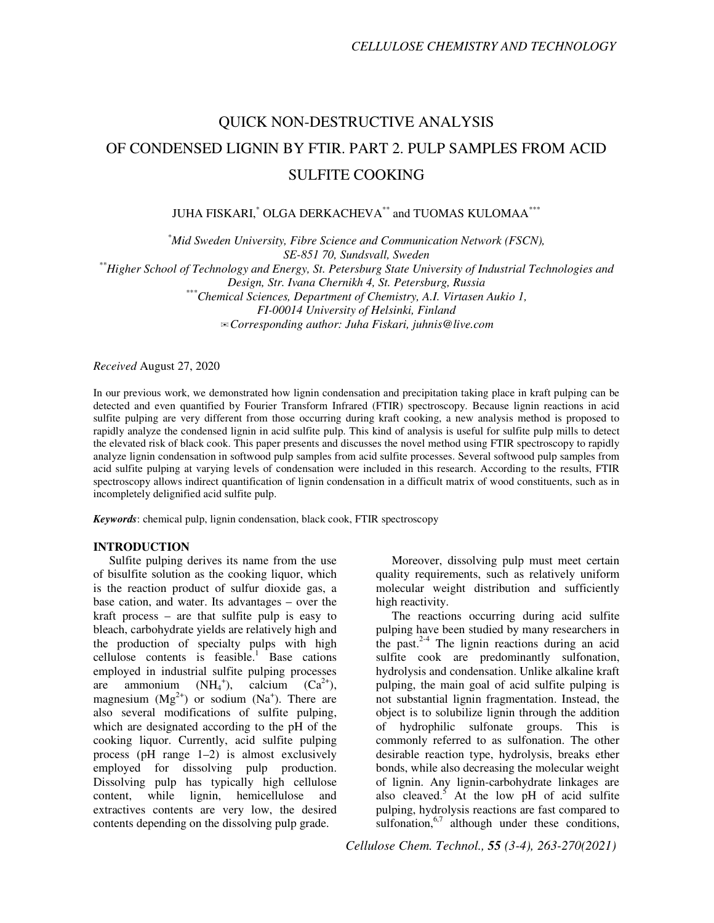# QUICK NON-DESTRUCTIVE ANALYSIS OF CONDENSED LIGNIN BY FTIR. PART 2. PULP SAMPLES FROM ACID SULFITE COOKING

JUHA FISKARI,\* OLGA DERKACHEVA\*\* and TUOMAS KULOMAA\*\*\*

*\*Mid Sweden University, Fibre Science and Communication Network (FSCN), SE-851 70, Sundsvall, Sweden* 

*\*\*Higher School of Technology and Energy, St. Petersburg State University of Industrial Technologies and*

*Design, Str. Ivana Chernikh 4, St. Petersburg, Russia* 

*\*\*\*Chemical Sciences, Department of Chemistry, A.I. Virtasen Aukio 1, FI-00014 University of Helsinki, Finland* 

✉*Corresponding author: Juha Fiskari, juhnis@live.com*

*Received* August 27, 2020

In our previous work, we demonstrated how lignin condensation and precipitation taking place in kraft pulping can be detected and even quantified by Fourier Transform Infrared (FTIR) spectroscopy. Because lignin reactions in acid sulfite pulping are very different from those occurring during kraft cooking, a new analysis method is proposed to rapidly analyze the condensed lignin in acid sulfite pulp. This kind of analysis is useful for sulfite pulp mills to detect the elevated risk of black cook. This paper presents and discusses the novel method using FTIR spectroscopy to rapidly analyze lignin condensation in softwood pulp samples from acid sulfite processes. Several softwood pulp samples from acid sulfite pulping at varying levels of condensation were included in this research. According to the results, FTIR spectroscopy allows indirect quantification of lignin condensation in a difficult matrix of wood constituents, such as in incompletely delignified acid sulfite pulp.

*Keywords*: chemical pulp, lignin condensation, black cook, FTIR spectroscopy

## **INTRODUCTION**

Sulfite pulping derives its name from the use of bisulfite solution as the cooking liquor, which is the reaction product of sulfur dioxide gas, a base cation, and water. Its advantages – over the kraft process – are that sulfite pulp is easy to bleach, carbohydrate yields are relatively high and the production of specialty pulps with high cellulose contents is feasible.<sup>1</sup> Base cations employed in industrial sulfite pulping processes are ammonium  $(NH_4^+),$  calcium  $(Ca^{2+}),$ magnesium  $(Mg^{2+})$  or sodium  $(Na^{+})$ . There are also several modifications of sulfite pulping, which are designated according to the pH of the cooking liquor. Currently, acid sulfite pulping process (pH range 1–2) is almost exclusively employed for dissolving pulp production. Dissolving pulp has typically high cellulose content, while lignin, hemicellulose and extractives contents are very low, the desired contents depending on the dissolving pulp grade.

Moreover, dissolving pulp must meet certain quality requirements, such as relatively uniform molecular weight distribution and sufficiently high reactivity.

The reactions occurring during acid sulfite pulping have been studied by many researchers in the past. $2-4$  The lignin reactions during an acid sulfite cook are predominantly sulfonation, hydrolysis and condensation. Unlike alkaline kraft pulping, the main goal of acid sulfite pulping is not substantial lignin fragmentation. Instead, the object is to solubilize lignin through the addition of hydrophilic sulfonate groups. This is commonly referred to as sulfonation. The other desirable reaction type, hydrolysis, breaks ether bonds, while also decreasing the molecular weight of lignin. Any lignin-carbohydrate linkages are also cleaved.<sup>5</sup> At the low pH of acid sulfite pulping, hydrolysis reactions are fast compared to sulfonation,  $6,7$  although under these conditions,

*Cellulose Chem. Technol., 55 (3-4), 263-270(2021)*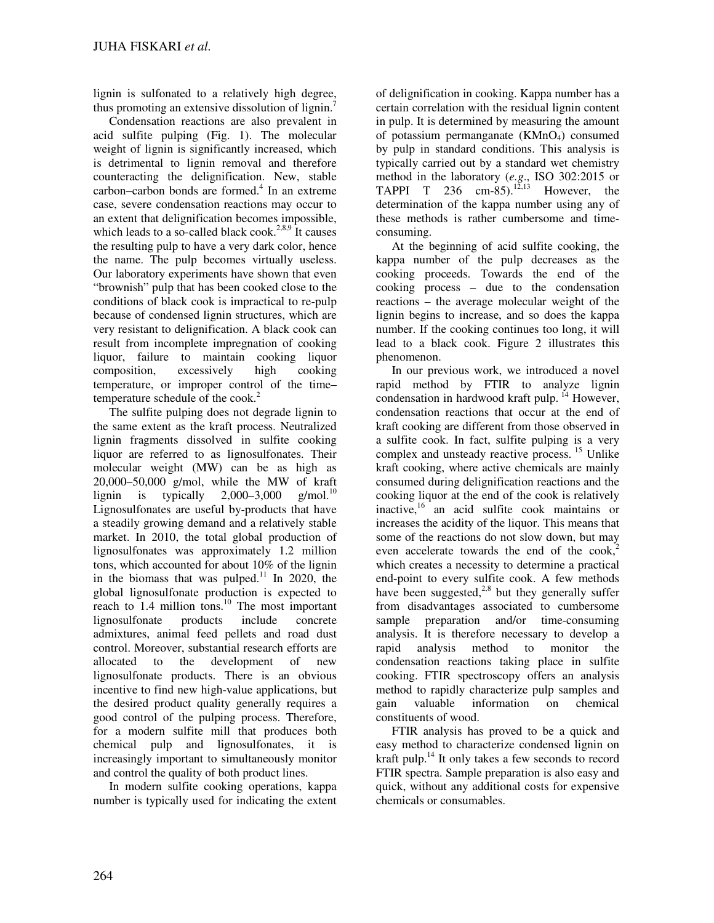lignin is sulfonated to a relatively high degree, thus promoting an extensive dissolution of lignin.<sup>7</sup>

Condensation reactions are also prevalent in acid sulfite pulping (Fig. 1). The molecular weight of lignin is significantly increased, which is detrimental to lignin removal and therefore counteracting the delignification. New, stable carbon–carbon bonds are formed.<sup>4</sup> In an extreme case, severe condensation reactions may occur to an extent that delignification becomes impossible, which leads to a so-called black cook.<sup>2,8,9</sup> It causes the resulting pulp to have a very dark color, hence the name. The pulp becomes virtually useless. Our laboratory experiments have shown that even "brownish" pulp that has been cooked close to the conditions of black cook is impractical to re-pulp because of condensed lignin structures, which are very resistant to delignification. A black cook can result from incomplete impregnation of cooking liquor, failure to maintain cooking liquor composition, excessively high cooking temperature, or improper control of the time– temperature schedule of the cook.<sup>2</sup>

The sulfite pulping does not degrade lignin to the same extent as the kraft process. Neutralized lignin fragments dissolved in sulfite cooking liquor are referred to as lignosulfonates. Their molecular weight (MW) can be as high as 20,000–50,000 g/mol, while the MW of kraft lignin is typically  $2,000-3,000$  g/mol.<sup>10</sup> Lignosulfonates are useful by-products that have a steadily growing demand and a relatively stable market. In 2010, the total global production of lignosulfonates was approximately 1.2 million tons, which accounted for about 10% of the lignin in the biomass that was pulped.<sup>11</sup> In 2020, the global lignosulfonate production is expected to reach to  $1.4$  million tons.<sup>10</sup> The most important lignosulfonate products include concrete admixtures, animal feed pellets and road dust control. Moreover, substantial research efforts are allocated to the development of new lignosulfonate products. There is an obvious incentive to find new high-value applications, but the desired product quality generally requires a good control of the pulping process. Therefore, for a modern sulfite mill that produces both chemical pulp and lignosulfonates, it is increasingly important to simultaneously monitor and control the quality of both product lines.

In modern sulfite cooking operations, kappa number is typically used for indicating the extent

of delignification in cooking. Kappa number has a certain correlation with the residual lignin content in pulp. It is determined by measuring the amount of potassium permanganate  $(KMnO<sub>4</sub>)$  consumed by pulp in standard conditions. This analysis is typically carried out by a standard wet chemistry method in the laboratory (*e.g*., ISO 302:2015 or TAPPI T 236 cm-85).<sup>12,13</sup> However, the determination of the kappa number using any of these methods is rather cumbersome and timeconsuming.

At the beginning of acid sulfite cooking, the kappa number of the pulp decreases as the cooking proceeds. Towards the end of the cooking process – due to the condensation reactions – the average molecular weight of the lignin begins to increase, and so does the kappa number. If the cooking continues too long, it will lead to a black cook. Figure 2 illustrates this phenomenon.

In our previous work, we introduced a novel rapid method by FTIR to analyze lignin condensation in hardwood kraft pulp.<sup>14</sup> However, condensation reactions that occur at the end of kraft cooking are different from those observed in a sulfite cook. In fact, sulfite pulping is a very complex and unsteady reactive process.<sup>15</sup> Unlike kraft cooking, where active chemicals are mainly consumed during delignification reactions and the cooking liquor at the end of the cook is relatively inactive,<sup>16</sup> an acid sulfite cook maintains or increases the acidity of the liquor. This means that some of the reactions do not slow down, but may even accelerate towards the end of the  $\cosh^2$ which creates a necessity to determine a practical end-point to every sulfite cook. A few methods have been suggested, $2.8$  but they generally suffer from disadvantages associated to cumbersome sample preparation and/or time-consuming analysis. It is therefore necessary to develop a rapid analysis method to monitor the condensation reactions taking place in sulfite cooking. FTIR spectroscopy offers an analysis method to rapidly characterize pulp samples and gain valuable information on chemical constituents of wood.

FTIR analysis has proved to be a quick and easy method to characterize condensed lignin on kraft pulp. $^{14}$  It only takes a few seconds to record FTIR spectra. Sample preparation is also easy and quick, without any additional costs for expensive chemicals or consumables.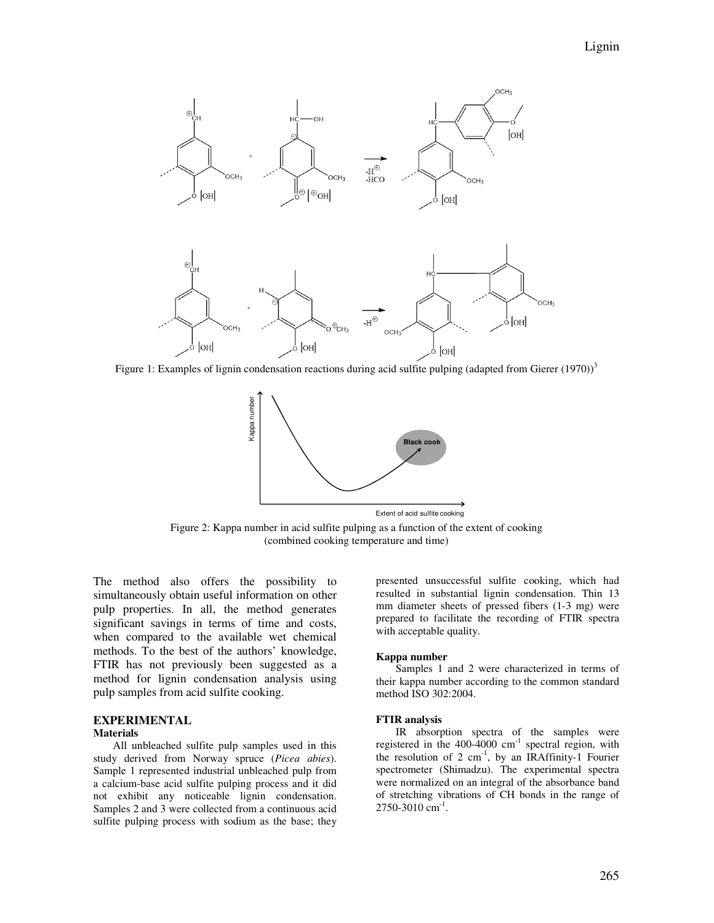

Figure 1: Examples of lignin condensation reactions during acid sulfite pulping (adapted from Gierer  $(1970)^3$ )



Figure 2: Kappa number in acid sulfite pulping as a function of the extent of cooking (combined cooking temperature and time)

The method also offers the possibility to simultaneously obtain useful information on other pulp properties. In all, the method generates significant savings in terms of time and costs, when compared to the available wet chemical methods. To the best of the authors' knowledge, FTIR has not previously been suggested as a method for lignin condensation analysis using pulp samples from acid sulfite cooking.

# **EXPERIMENTAL**

#### **Materials**

All unbleached sulfite pulp samples used in this study derived from Norway spruce (*Picea abies*). Sample 1 represented industrial unbleached pulp from a calcium-base acid sulfite pulping process and it did not exhibit any noticeable lignin condensation. Samples 2 and 3 were collected from a continuous acid sulfite pulping process with sodium as the base; they

presented unsuccessful sulfite cooking, which had resulted in substantial lignin condensation. Thin 13 mm diameter sheets of pressed fibers (1-3 mg) were prepared to facilitate the recording of FTIR spectra with acceptable quality.

#### **Kappa number**

Samples 1 and 2 were characterized in terms of their kappa number according to the common standard method ISO 302:2004.

#### **FTIR analysis**

IR absorption spectra of the samples were registered in the  $400-4000$  cm<sup>-1</sup> spectral region, with the resolution of 2  $cm^{-1}$ , by an IRAffinity-1 Fourier spectrometer (Shimadzu). The experimental spectra were normalized on an integral of the absorbance band of stretching vibrations of CH bonds in the range of  $2750 - 3010$  cm<sup>-1</sup>.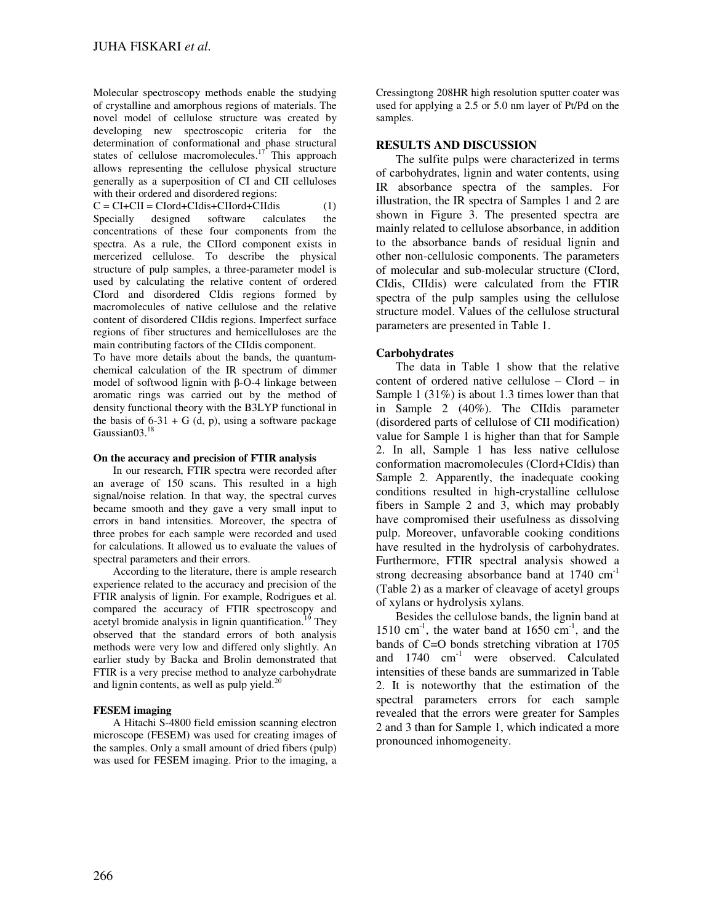Molecular spectroscopy methods enable the studying of crystalline and amorphous regions of materials. The novel model of cellulose structure was created by developing new spectroscopic criteria for the determination of conformational and phase structural states of cellulose macromolecules.<sup>17</sup> This approach allows representing the cellulose physical structure generally as a superposition of CI and CII celluloses with their ordered and disordered regions:

 $C = CI + CI = CI \cdot CId + CId \cdot CId + CId \cdot CId$  (1) Specially designed software calculates the concentrations of these four components from the spectra. As a rule, the CIIord component exists in mercerized cellulose. To describe the physical structure of pulp samples, a three-parameter model is used by calculating the relative content of ordered CIord and disordered CIdis regions formed by macromolecules of native cellulose and the relative content of disordered CIIdis regions. Imperfect surface regions of fiber structures and hemicelluloses are the main contributing factors of the CIIdis component.

To have more details about the bands, the quantumchemical calculation of the IR spectrum of dimmer model of softwood lignin with β-O-4 linkage between aromatic rings was carried out by the method of density functional theory with the B3LYP functional in the basis of  $6-31 + G$  (d, p), using a software package Gaussian<sub>03.<sup>18</sup></sub>

### **On the accuracy and precision of FTIR analysis**

In our research, FTIR spectra were recorded after an average of 150 scans. This resulted in a high signal/noise relation. In that way, the spectral curves became smooth and they gave a very small input to errors in band intensities. Moreover, the spectra of three probes for each sample were recorded and used for calculations. It allowed us to evaluate the values of spectral parameters and their errors.

According to the literature, there is ample research experience related to the accuracy and precision of the FTIR analysis of lignin. For example, Rodrigues et al. compared the accuracy of FTIR spectroscopy and acetyl bromide analysis in lignin quantification.<sup>19</sup> They observed that the standard errors of both analysis methods were very low and differed only slightly. An earlier study by Backa and Brolin demonstrated that FTIR is a very precise method to analyze carbohydrate and lignin contents, as well as pulp yield. $20$ 

# **FESEM imaging**

A Hitachi S-4800 field emission scanning electron microscope (FESEM) was used for creating images of the samples. Only a small amount of dried fibers (pulp) was used for FESEM imaging. Prior to the imaging, a

Cressingtong 208HR high resolution sputter coater was used for applying a 2.5 or 5.0 nm layer of Pt/Pd on the samples.

## **RESULTS AND DISCUSSION**

The sulfite pulps were characterized in terms of carbohydrates, lignin and water contents, using IR absorbance spectra of the samples. For illustration, the IR spectra of Samples 1 and 2 are shown in Figure 3. The presented spectra are mainly related to cellulose absorbance, in addition to the absorbance bands of residual lignin and other non-cellulosic components. The parameters of molecular and sub-molecular structure (CIord, CIdis, CIIdis) were calculated from the FTIR spectra of the pulp samples using the cellulose structure model. Values of the cellulose structural parameters are presented in Table 1.

# **Carbohydrates**

The data in Table 1 show that the relative content of ordered native cellulose – CIord – in Sample 1 (31%) is about 1.3 times lower than that in Sample 2 (40%). The CIIdis parameter (disordered parts of cellulose of CII modification) value for Sample 1 is higher than that for Sample 2. In all, Sample 1 has less native cellulose conformation macromolecules (CIord+CIdis) than Sample 2. Apparently, the inadequate cooking conditions resulted in high-crystalline cellulose fibers in Sample 2 and 3, which may probably have compromised their usefulness as dissolving pulp. Moreover, unfavorable cooking conditions have resulted in the hydrolysis of carbohydrates. Furthermore, FTIR spectral analysis showed a strong decreasing absorbance band at 1740 cm<sup>-1</sup> (Table 2) as a marker of cleavage of acetyl groups of xylans or hydrolysis xylans.

Besides the cellulose bands, the lignin band at 1510 cm<sup>-1</sup>, the water band at 1650 cm<sup>-1</sup>, and the bands of C=O bonds stretching vibration at 1705 and  $1740 \text{ cm}^{-1}$  were observed. Calculated intensities of these bands are summarized in Table 2. It is noteworthy that the estimation of the spectral parameters errors for each sample revealed that the errors were greater for Samples 2 and 3 than for Sample 1, which indicated a more pronounced inhomogeneity.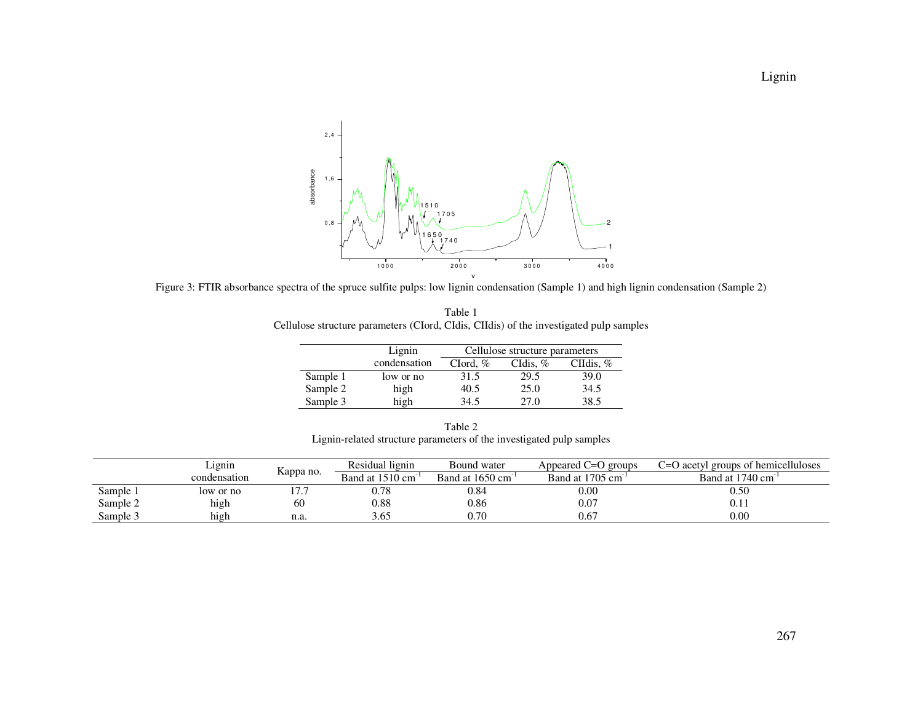

Figure 3: FTIR absorbance spectra of the spruce sulfite pulps: low lignin condensation (Sample 1) and high lignin condensation (Sample 2)

|                                                                                        | Table 1 |  |  |  |  |
|----------------------------------------------------------------------------------------|---------|--|--|--|--|
| Cellulose structure parameters (CIord, CIdis, CIIdis) of the investigated pulp samples |         |  |  |  |  |

|          | Lignin       | Cellulose structure parameters |            |             |  |
|----------|--------------|--------------------------------|------------|-------------|--|
|          | condensation | Clord, $\%$                    | CIdis, $%$ | CIIdis, $%$ |  |
| Sample 1 | low or no    | 31.5                           | 29.5       | 39.0        |  |
| Sample 2 | high         | 40.5                           | 25.0       | 34.5        |  |
| Sample 3 | high         | 34.5                           | 27.0       | 38.5        |  |

Table 2 Lignin-related structure parameters of the investigated pulp samples

|          | Lignin       |           | Residual lignin | Bound water                    | Appeared C=O groups | C=O acetyl groups of hemicelluloses |
|----------|--------------|-----------|-----------------|--------------------------------|---------------------|-------------------------------------|
|          | condensation | Kappa no. | Band at 1510 cm | Band at $1650 \text{ cm}^{-1}$ | Band at 1705 cm     | Band at 1740 cm <sup>-1</sup>       |
| Sample i | low or no    |           | 0.78            | 0.84                           | $0.00\,$            | $\rm 0.50$                          |
| Sample 2 | high         | 60        | 0.88            | 0.86                           | 0.07                |                                     |
| Sample 3 | high         | n.a.      |                 | 0.70                           | 0.67                | 0.00                                |

Lignin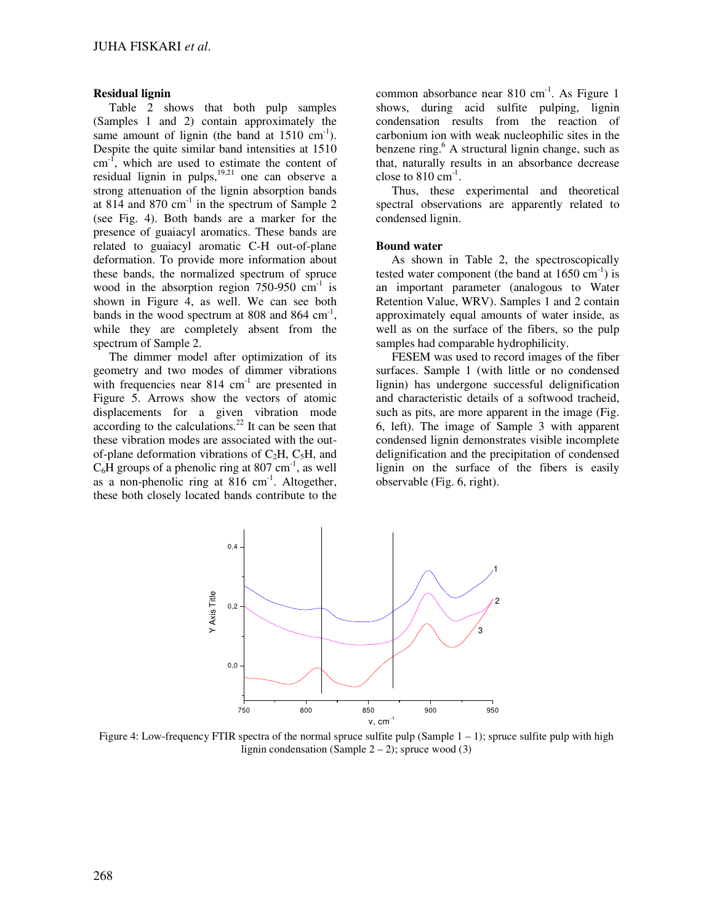#### **Residual lignin**

Table 2 shows that both pulp samples (Samples 1 and 2) contain approximately the same amount of lignin (the band at  $1510 \text{ cm}^{-1}$ ). Despite the quite similar band intensities at 1510  $cm^{-1}$ , which are used to estimate the content of residual lignin in pulps, $1^{9,21}$  one can observe a strong attenuation of the lignin absorption bands at 814 and 870  $\text{cm}^{-1}$  in the spectrum of Sample 2 (see Fig. 4). Both bands are a marker for the presence of guaiacyl aromatics. These bands are related to guaiacyl aromatic C-H out-of-plane deformation. To provide more information about these bands, the normalized spectrum of spruce wood in the absorption region  $750-950$  cm<sup>-1</sup> is shown in Figure 4, as well. We can see both bands in the wood spectrum at  $808$  and  $864 \text{ cm}^{-1}$ , while they are completely absent from the spectrum of Sample 2.

The dimmer model after optimization of its geometry and two modes of dimmer vibrations with frequencies near  $814 \text{ cm}^{-1}$  are presented in Figure 5. Arrows show the vectors of atomic displacements for a given vibration mode according to the calculations.<sup>22</sup> It can be seen that these vibration modes are associated with the outof-plane deformation vibrations of  $C_2H$ ,  $C_5H$ , and  $C_6H$  groups of a phenolic ring at 807 cm<sup>-1</sup>, as well as a non-phenolic ring at  $816 \text{ cm}^{-1}$ . Altogether, these both closely located bands contribute to the

common absorbance near  $810 \text{ cm}^{-1}$ . As Figure 1 shows, during acid sulfite pulping, lignin condensation results from the reaction of carbonium ion with weak nucleophilic sites in the benzene ring.<sup>6</sup> A structural lignin change, such as that, naturally results in an absorbance decrease close to  $810 \text{ cm}^{-1}$ .

Thus, these experimental and theoretical spectral observations are apparently related to condensed lignin.

#### **Bound water**

As shown in Table 2, the spectroscopically tested water component (the band at  $1650 \text{ cm}^{-1}$ ) is an important parameter (analogous to Water Retention Value, WRV). Samples 1 and 2 contain approximately equal amounts of water inside, as well as on the surface of the fibers, so the pulp samples had comparable hydrophilicity.

FESEM was used to record images of the fiber surfaces. Sample 1 (with little or no condensed lignin) has undergone successful delignification and characteristic details of a softwood tracheid, such as pits, are more apparent in the image (Fig. 6, left). The image of Sample 3 with apparent condensed lignin demonstrates visible incomplete delignification and the precipitation of condensed lignin on the surface of the fibers is easily observable (Fig. 6, right).



Figure 4: Low-frequency FTIR spectra of the normal spruce sulfite pulp (Sample 1 – 1); spruce sulfite pulp with high lignin condensation (Sample  $2 - 2$ ); spruce wood (3)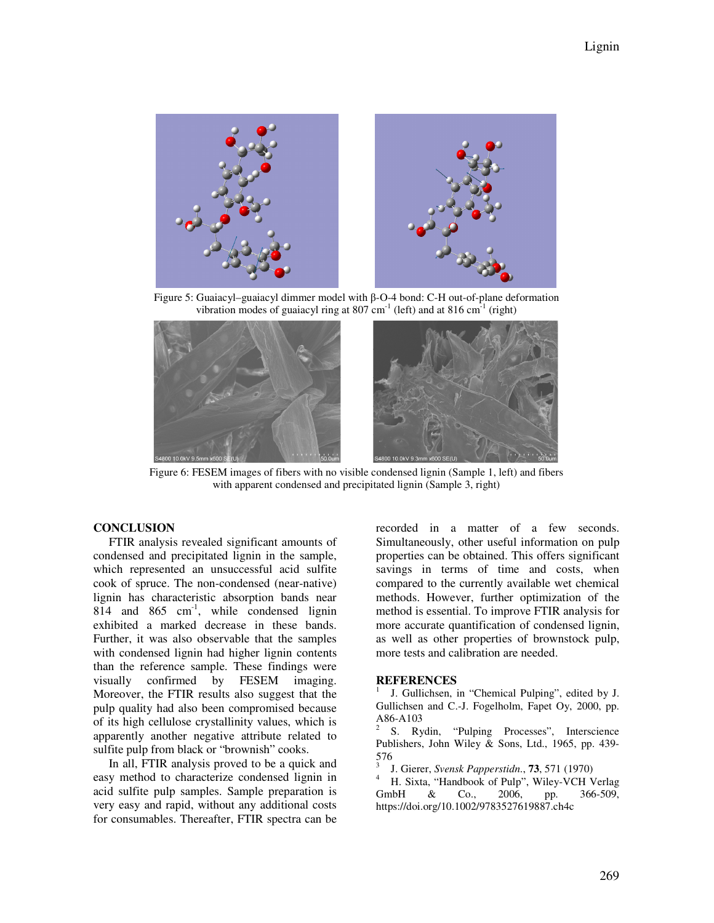

Figure 5: Guaiacyl–guaiacyl dimmer model with β-O-4 bond: C-H out-of-plane deformation vibration modes of guaiacyl ring at 807 cm<sup>-1</sup> (left) and at 816 cm<sup>-1</sup> (right)



Figure 6: FESEM images of fibers with no visible condensed lignin (Sample 1, left) and fibers with apparent condensed and precipitated lignin (Sample 3, right)

# **CONCLUSION**

FTIR analysis revealed significant amounts of condensed and precipitated lignin in the sample, which represented an unsuccessful acid sulfite cook of spruce. The non-condensed (near-native) lignin has characteristic absorption bands near 814 and 865  $cm^{-1}$ , while condensed lignin exhibited a marked decrease in these bands. Further, it was also observable that the samples with condensed lignin had higher lignin contents than the reference sample. These findings were visually confirmed by FESEM imaging. Moreover, the FTIR results also suggest that the pulp quality had also been compromised because of its high cellulose crystallinity values, which is apparently another negative attribute related to sulfite pulp from black or "brownish" cooks.

In all, FTIR analysis proved to be a quick and easy method to characterize condensed lignin in acid sulfite pulp samples. Sample preparation is very easy and rapid, without any additional costs for consumables. Thereafter, FTIR spectra can be

recorded in a matter of a few seconds. Simultaneously, other useful information on pulp properties can be obtained. This offers significant savings in terms of time and costs, when compared to the currently available wet chemical methods. However, further optimization of the method is essential. To improve FTIR analysis for more accurate quantification of condensed lignin, as well as other properties of brownstock pulp, more tests and calibration are needed.

#### **REFERENCES**

1 J. Gullichsen, in "Chemical Pulping", edited by J. Gullichsen and C.-J. Fogelholm, Fapet Oy, 2000, pp. A86-A103

2 S. Rydin, "Pulping Processes", Interscience Publishers, John Wiley & Sons, Ltd., 1965, pp. 439- 576

3 J. Gierer, *Svensk Papperstidn*., **73**, 571 (1970)

<sup>4</sup> H. Sixta, "Handbook of Pulp", Wiley-VCH Verlag GmbH & Co., 2006, pp. 366-509, https://doi.org/10.1002/9783527619887.ch4c